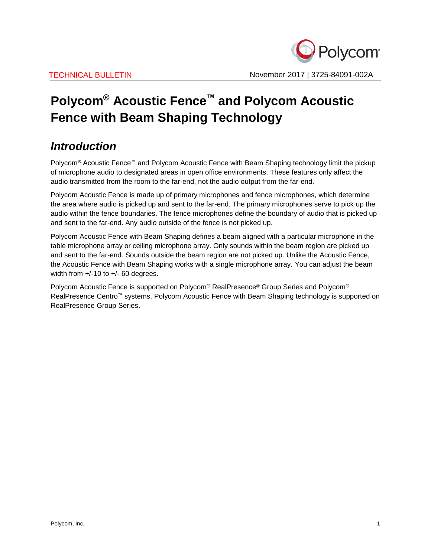

# **Polycom® Acoustic Fence™ and Polycom Acoustic Fence with Beam Shaping Technology**

## *Introduction*

Polycom<sup>®</sup> Acoustic Fence™ and Polycom Acoustic Fence with Beam Shaping technology limit the pickup of microphone audio to designated areas in open office environments. These features only affect the audio transmitted from the room to the far-end, not the audio output from the far-end.

Polycom Acoustic Fence is made up of primary microphones and fence microphones, which determine the area where audio is picked up and sent to the far-end. The primary microphones serve to pick up the audio within the fence boundaries. The fence microphones define the boundary of audio that is picked up and sent to the far-end. Any audio outside of the fence is not picked up.

Polycom Acoustic Fence with Beam Shaping defines a beam aligned with a particular microphone in the table microphone array or ceiling microphone array. Only sounds within the beam region are picked up and sent to the far-end. Sounds outside the beam region are not picked up. Unlike the Acoustic Fence, the Acoustic Fence with Beam Shaping works with a single microphone array. You can adjust the beam width from  $+/-10$  to  $+/-60$  degrees.

Polycom Acoustic Fence is supported on Polycom® RealPresence® Group Series and Polycom® RealPresence Centro™ systems. Polycom Acoustic Fence with Beam Shaping technology is supported on RealPresence Group Series.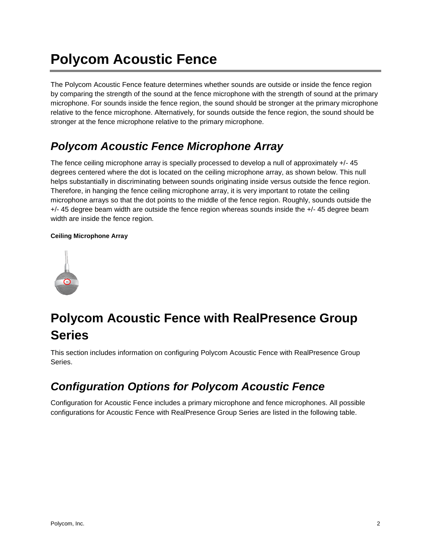# **Polycom Acoustic Fence**

The Polycom Acoustic Fence feature determines whether sounds are outside or inside the fence region by comparing the strength of the sound at the fence microphone with the strength of sound at the primary microphone. For sounds inside the fence region, the sound should be stronger at the primary microphone relative to the fence microphone. Alternatively, for sounds outside the fence region, the sound should be stronger at the fence microphone relative to the primary microphone.

## *Polycom Acoustic Fence Microphone Array*

The fence ceiling microphone array is specially processed to develop a null of approximately +/- 45 degrees centered where the dot is located on the ceiling microphone array, as shown below. This null helps substantially in discriminating between sounds originating inside versus outside the fence region. Therefore, in hanging the fence ceiling microphone array, it is very important to rotate the ceiling microphone arrays so that the dot points to the middle of the fence region. Roughly, sounds outside the +/- 45 degree beam width are outside the fence region whereas sounds inside the +/- 45 degree beam width are inside the fence region.

### **Ceiling Microphone Array**



# **Polycom Acoustic Fence with RealPresence Group Series**

This section includes information on configuring Polycom Acoustic Fence with RealPresence Group Series.

## *Configuration Options for Polycom Acoustic Fence*

Configuration for Acoustic Fence includes a primary microphone and fence microphones. All possible configurations for Acoustic Fence with RealPresence Group Series are listed in the following table.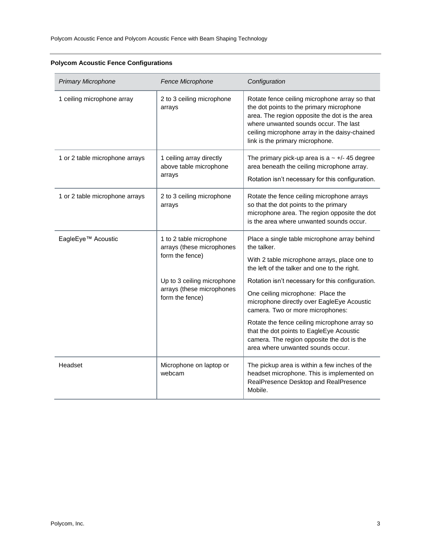| <b>Primary Microphone</b>      | Fence Microphone                                                           | Configuration                                                                                                                                                                                                                                                           |
|--------------------------------|----------------------------------------------------------------------------|-------------------------------------------------------------------------------------------------------------------------------------------------------------------------------------------------------------------------------------------------------------------------|
| 1 ceiling microphone array     | 2 to 3 ceiling microphone<br>arrays                                        | Rotate fence ceiling microphone array so that<br>the dot points to the primary microphone<br>area. The region opposite the dot is the area<br>where unwanted sounds occur. The last<br>ceiling microphone array in the daisy-chained<br>link is the primary microphone. |
| 1 or 2 table microphone arrays | 1 ceiling array directly<br>above table microphone<br>arrays               | The primary pick-up area is $a \sim +/- 45$ degree<br>area beneath the ceiling microphone array.<br>Rotation isn't necessary for this configuration.                                                                                                                    |
| 1 or 2 table microphone arrays | 2 to 3 ceiling microphone<br>arrays                                        | Rotate the fence ceiling microphone arrays<br>so that the dot points to the primary<br>microphone area. The region opposite the dot<br>is the area where unwanted sounds occur.                                                                                         |
| EagleEye™ Acoustic             | 1 to 2 table microphone<br>arrays (these microphones<br>form the fence)    | Place a single table microphone array behind<br>the talker.<br>With 2 table microphone arrays, place one to<br>the left of the talker and one to the right.                                                                                                             |
|                                | Up to 3 ceiling microphone<br>arrays (these microphones<br>form the fence) | Rotation isn't necessary for this configuration.                                                                                                                                                                                                                        |
|                                |                                                                            | One ceiling microphone: Place the<br>microphone directly over EagleEye Acoustic<br>camera. Two or more microphones:                                                                                                                                                     |
|                                |                                                                            | Rotate the fence ceiling microphone array so<br>that the dot points to EagleEye Acoustic<br>camera. The region opposite the dot is the<br>area where unwanted sounds occur.                                                                                             |
| Headset                        | Microphone on laptop or<br>webcam                                          | The pickup area is within a few inches of the<br>headset microphone. This is implemented on<br>RealPresence Desktop and RealPresence<br>Mobile.                                                                                                                         |

### **Polycom Acoustic Fence Configurations**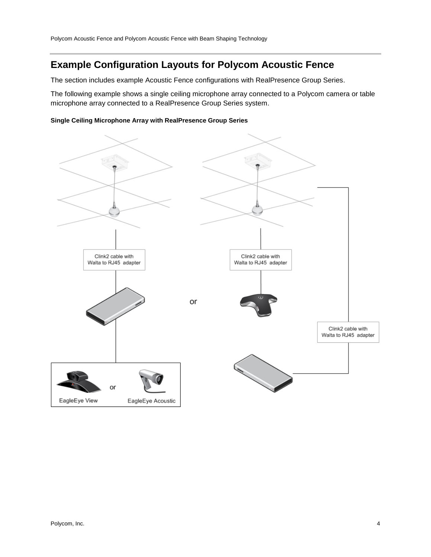### **Example Configuration Layouts for Polycom Acoustic Fence**

The section includes example Acoustic Fence configurations with RealPresence Group Series.

The following example shows a single ceiling microphone array connected to a Polycom camera or table microphone array connected to a RealPresence Group Series system.

#### **Single Ceiling Microphone Array with RealPresence Group Series**

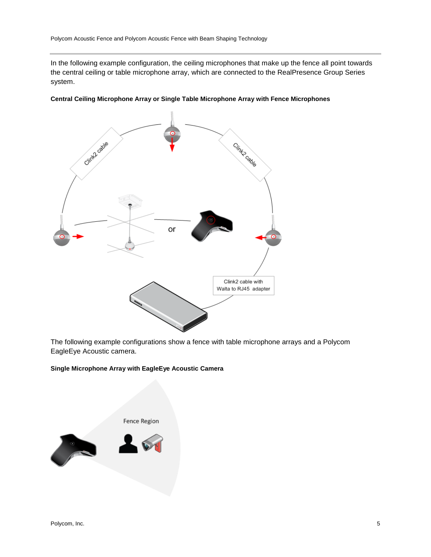In the following example configuration, the ceiling microphones that make up the fence all point towards the central ceiling or table microphone array, which are connected to the RealPresence Group Series system.





The following example configurations show a fence with table microphone arrays and a Polycom EagleEye Acoustic camera.

#### **Single Microphone Array with EagleEye Acoustic Camera**

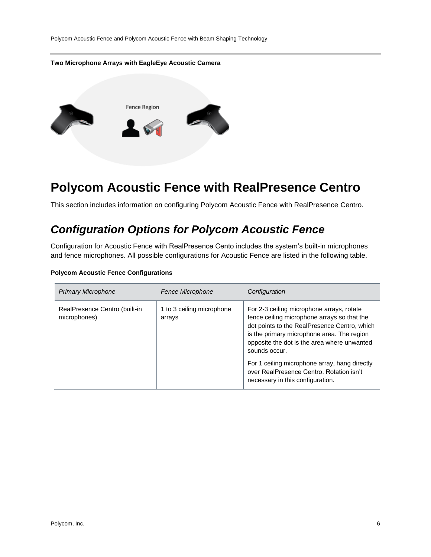Polycom Acoustic Fence and Polycom Acoustic Fence with Beam Shaping Technology

#### **Two Microphone Arrays with EagleEye Acoustic Camera**



# **Polycom Acoustic Fence with RealPresence Centro**

This section includes information on configuring Polycom Acoustic Fence with RealPresence Centro.

### *Configuration Options for Polycom Acoustic Fence*

Configuration for Acoustic Fence with RealPresence Cento includes the system's built-in microphones and fence microphones. All possible configurations for Acoustic Fence are listed in the following table.

#### **Polycom Acoustic Fence Configurations**

| <b>Primary Microphone</b>                     | Fence Microphone                    | Configuration                                                                                                                                                                                                                                                                                                                                       |
|-----------------------------------------------|-------------------------------------|-----------------------------------------------------------------------------------------------------------------------------------------------------------------------------------------------------------------------------------------------------------------------------------------------------------------------------------------------------|
| RealPresence Centro (built-in<br>microphones) | 1 to 3 ceiling microphone<br>arrays | For 2-3 ceiling microphone arrays, rotate<br>fence ceiling microphone arrays so that the<br>dot points to the RealPresence Centro, which<br>is the primary microphone area. The region<br>opposite the dot is the area where unwanted<br>sounds occur.<br>For 1 ceiling microphone array, hang directly<br>over RealPresence Centro. Rotation isn't |
|                                               |                                     | necessary in this configuration.                                                                                                                                                                                                                                                                                                                    |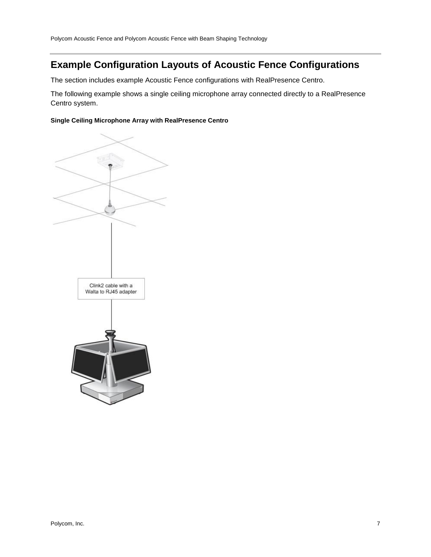### **Example Configuration Layouts of Acoustic Fence Configurations**

The section includes example Acoustic Fence configurations with RealPresence Centro.

The following example shows a single ceiling microphone array connected directly to a RealPresence Centro system.

#### **Single Ceiling Microphone Array with RealPresence Centro**

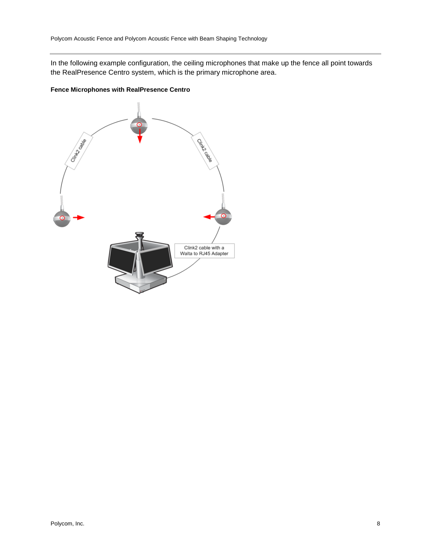In the following example configuration, the ceiling microphones that make up the fence all point towards the RealPresence Centro system, which is the primary microphone area.

### **Fence Microphones with RealPresence Centro**

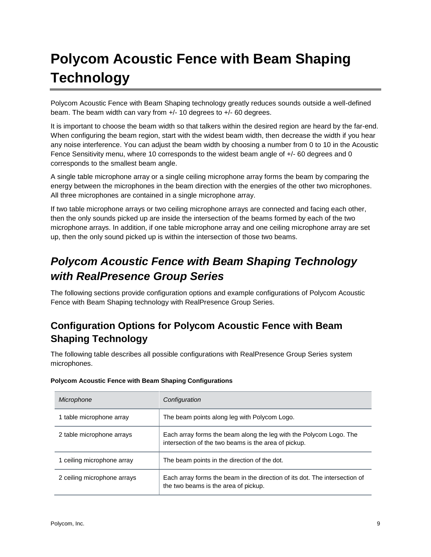# **Polycom Acoustic Fence with Beam Shaping Technology**

Polycom Acoustic Fence with Beam Shaping technology greatly reduces sounds outside a well-defined beam. The beam width can vary from +/- 10 degrees to +/- 60 degrees.

It is important to choose the beam width so that talkers within the desired region are heard by the far-end. When configuring the beam region, start with the widest beam width, then decrease the width if you hear any noise interference. You can adjust the beam width by choosing a number from 0 to 10 in the Acoustic Fence Sensitivity menu, where 10 corresponds to the widest beam angle of +/- 60 degrees and 0 corresponds to the smallest beam angle.

A single table microphone array or a single ceiling microphone array forms the beam by comparing the energy between the microphones in the beam direction with the energies of the other two microphones. All three microphones are contained in a single microphone array.

If two table microphone arrays or two ceiling microphone arrays are connected and facing each other, then the only sounds picked up are inside the intersection of the beams formed by each of the two microphone arrays. In addition, if one table microphone array and one ceiling microphone array are set up, then the only sound picked up is within the intersection of those two beams.

## *Polycom Acoustic Fence with Beam Shaping Technology with RealPresence Group Series*

The following sections provide configuration options and example configurations of Polycom Acoustic Fence with Beam Shaping technology with RealPresence Group Series.

### **Configuration Options for Polycom Acoustic Fence with Beam Shaping Technology**

The following table describes all possible configurations with RealPresence Group Series system microphones.

| Microphone                  | Configuration                                                                                                              |
|-----------------------------|----------------------------------------------------------------------------------------------------------------------------|
| 1 table microphone array    | The beam points along leg with Polycom Logo.                                                                               |
| 2 table microphone arrays   | Each array forms the beam along the leg with the Polycom Logo. The<br>intersection of the two beams is the area of pickup. |
| 1 ceiling microphone array  | The beam points in the direction of the dot.                                                                               |
| 2 ceiling microphone arrays | Each array forms the beam in the direction of its dot. The intersection of<br>the two beams is the area of pickup.         |

### **Polycom Acoustic Fence with Beam Shaping Configurations**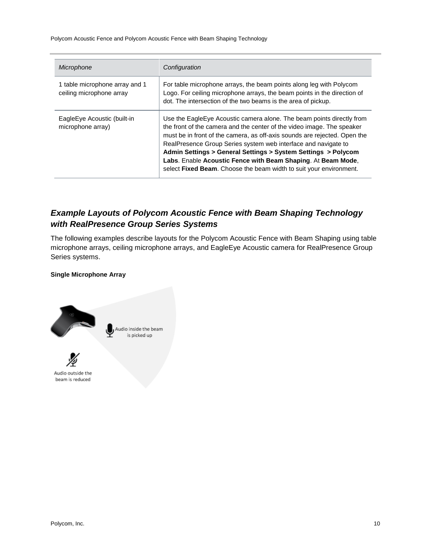Polycom Acoustic Fence and Polycom Acoustic Fence with Beam Shaping Technology

| Microphone                                                 | Configuration                                                                                                                                                                                                                                                                                                                                                                                                                                                                                          |
|------------------------------------------------------------|--------------------------------------------------------------------------------------------------------------------------------------------------------------------------------------------------------------------------------------------------------------------------------------------------------------------------------------------------------------------------------------------------------------------------------------------------------------------------------------------------------|
| 1 table microphone array and 1<br>ceiling microphone array | For table microphone arrays, the beam points along leg with Polycom<br>Logo. For ceiling microphone arrays, the beam points in the direction of<br>dot. The intersection of the two beams is the area of pickup.                                                                                                                                                                                                                                                                                       |
| EagleEye Acoustic (built-in<br>microphone array)           | Use the Eagle Eye Acoustic camera alone. The beam points directly from<br>the front of the camera and the center of the video image. The speaker<br>must be in front of the camera, as off-axis sounds are rejected. Open the<br>RealPresence Group Series system web interface and navigate to<br>Admin Settings > General Settings > System Settings > Polycom<br>Labs. Enable Acoustic Fence with Beam Shaping. At Beam Mode,<br>select Fixed Beam. Choose the beam width to suit your environment. |

### *Example Layouts of Polycom Acoustic Fence with Beam Shaping Technology with RealPresence Group Series Systems*

The following examples describe layouts for the Polycom Acoustic Fence with Beam Shaping using table microphone arrays, ceiling microphone arrays, and EagleEye Acoustic camera for RealPresence Group Series systems.

### **Single Microphone Array**



 $\bigcirc$  Audio inside the beam is picked up



Audio outside the beam is reduced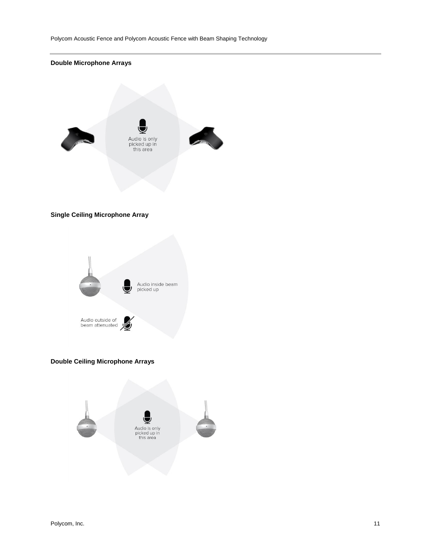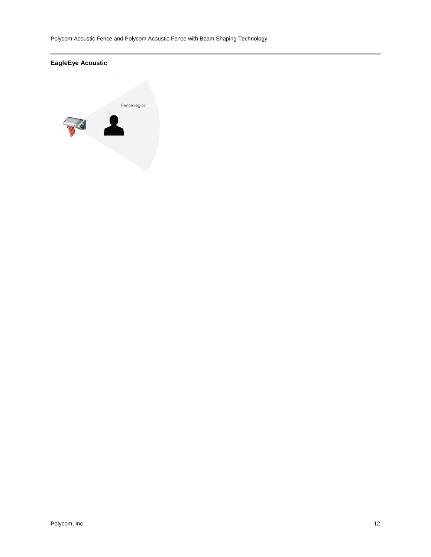Polycom Acoustic Fence and Polycom Acoustic Fence with Beam Shaping Technology